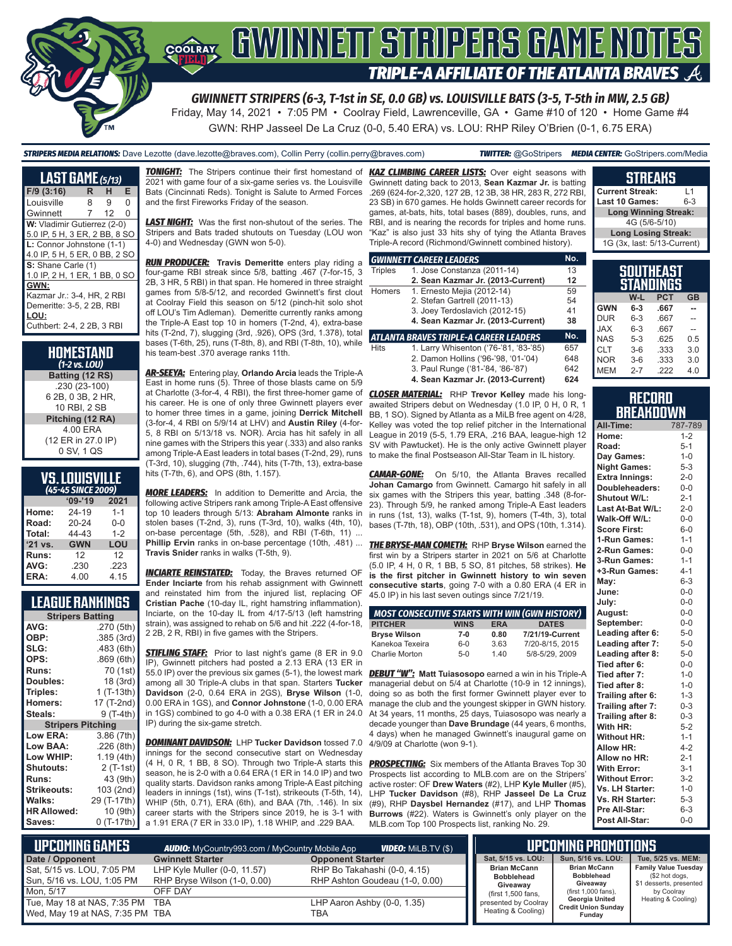

Friday, May 14, 2021 • 7:05 PM • Coolray Field, Lawrenceville, GA • Game #10 of 120 • Home Game #4 GWN: RHP Jasseel De La Cruz (0-0, 5.40 ERA) vs. LOU: RHP Riley O'Brien (0-1, 6.75 ERA)

*STRIPERS MEDIA RELATIONS:* Dave Lezotte (dave.lezotte@braves.com), Collin Perry (collin.perry@braves.com) *TWITTER:* @GoStripers *MEDIA CENTER:* GoStripers.com/Media

#### **LAST GAME** *(5/13)* **F/9 (3:16) R H E** Louisville Gwinnett 7 12 0 **W:** Vladimir Gutierrez (2-0) 5.0 IP, 5 H, 3 ER, 2 BB, 8 SO **L:** Connor Johnstone (1-1) 4.0 IP, 5 H, 5 ER, 0 BB, 2 SO **S:** Shane Carle (1) 1.0 IP, 2 H, 1 ER, 1 BB, 0 SO **GWN:** Kazmar Jr.: 3-4, HR, 2 RBI Demeritte: 3-5, 2 2B, RBI **LOU:** Cuthbert: 2-4, 2 2B, 3 RBI

| HOMESTAND<br>(1-2 vs. LOU) |
|----------------------------|
| Batting (12 RS)            |
| .230 (23-100)              |
| 6 2B, 0 3B, 2 HR,          |
| 10 RBI. 2 SB               |
| Pitching (12 RA)           |
| 4.00 ERA                   |
| (12 ER in 27.0 IP)         |
| 0 SV, 1 QS                 |

## **VS. LOUISVILLE**

| (45-45 SINCE 2009) |            |         |  |  |  |  |  |
|--------------------|------------|---------|--|--|--|--|--|
|                    | $'09-'19$  | 2021    |  |  |  |  |  |
| Home:              | 24-19      | $1 - 1$ |  |  |  |  |  |
| Road:              | 20-24      | $0 - 0$ |  |  |  |  |  |
| Total:             | 44-43      | $1 - 2$ |  |  |  |  |  |
| '21 vs.            | <b>GWN</b> | LOU     |  |  |  |  |  |
| Runs:              | 12         | 12      |  |  |  |  |  |
| AVG:               | .230       | .223    |  |  |  |  |  |
| ERA:               | 4.00       | 4.15    |  |  |  |  |  |

## **LEAGUE RANKINGS**

| <b>Stripers Batting</b>  |             |  |  |  |  |  |  |
|--------------------------|-------------|--|--|--|--|--|--|
| AVG:                     | .270 (5th)  |  |  |  |  |  |  |
| OBP:                     | .385 (3rd)  |  |  |  |  |  |  |
| SLG:                     | .483 (6th)  |  |  |  |  |  |  |
| OPS:                     | .869 (6th)  |  |  |  |  |  |  |
| <b>Runs:</b>             | 70 (1st)    |  |  |  |  |  |  |
| Doubles:                 | 18 (3rd)    |  |  |  |  |  |  |
| Triples:                 | $1(T-13th)$ |  |  |  |  |  |  |
| <b>Homers:</b>           | 17 (T-2nd)  |  |  |  |  |  |  |
| Steals:                  | 9 (T-4th)   |  |  |  |  |  |  |
| <b>Stripers Pitching</b> |             |  |  |  |  |  |  |
|                          |             |  |  |  |  |  |  |
| <b>Low ERA:</b>          | 3.86 (7th)  |  |  |  |  |  |  |
| Low BAA:                 | .226 (8th)  |  |  |  |  |  |  |
| Low WHIP:                | 1.19 (4th)  |  |  |  |  |  |  |
| <b>Shutouts:</b>         | 2 (T-1st)   |  |  |  |  |  |  |
| <b>Runs:</b>             | 43 (9th)    |  |  |  |  |  |  |
| Strikeouts:              | 103 (2nd)   |  |  |  |  |  |  |
| Walks:                   | 29 (T-17th) |  |  |  |  |  |  |
| <b>HR Allowed:</b>       | 10 (9th)    |  |  |  |  |  |  |

*TONIGHT:* The Stripers continue their first homestand of *KAZ CLIMBING CAREER LISTS:* Over eight seasons with 2021 with game four of a six-game series vs. the Louisville Bats (Cincinnati Reds). Tonight is Salute to Armed Forces and the first Fireworks Friday of the season.

*LAST NIGHT:* Was the first non-shutout of the series. The Stripers and Bats traded shutouts on Tuesday (LOU won 4-0) and Wednesday (GWN won 5-0).

*RUN PRODUCER:* **Travis Demeritte** enters play riding a four-game RBI streak since 5/8, batting .467 (7-for-15, 3 2B, 3 HR, 5 RBI) in that span. He homered in three straight games from 5/8-5/12, and recorded Gwinnett's first clout at Coolray Field this season on 5/12 (pinch-hit solo shot off LOU's Tim Adleman). Demeritte currently ranks among the Triple-A East top 10 in homers (T-2nd, 4), extra-base hits (T-2nd, 7), slugging (3rd, .926), OPS (3rd, 1.378), total bases (T-6th, 25), runs (T-8th, 8), and RBI (T-8th, 10), while his team-best .370 average ranks 11th.

*AR-SEEYA:* Entering play, **Orlando Arcia** leads the Triple-A East in home runs (5). Three of those blasts came on 5/9 at Charlotte (3-for-4, 4 RBI), the first three-homer game of his career. He is one of only three Gwinnett players ever to homer three times in a game, joining **Derrick Mitchell** (3-for-4, 4 RBI on 5/9/14 at LHV) and **Austin Riley** (4-for-5, 8 RBI on 5/13/18 vs. NOR). Arcia has hit safely in all nine games with the Stripers this year (.333) and also ranks among Triple-A East leaders in total bases (T-2nd, 29), runs (T-3rd, 10), slugging (7th, .744), hits (T-7th, 13), extra-base hits (T-7th, 6), and OPS (8th, 1.157).

*MORE LEADERS:* In addition to Demeritte and Arcia, the following active Stripers rank among Triple-A East offensive top 10 leaders through 5/13: **Abraham Almonte** ranks in stolen bases (T-2nd, 3), runs (T-3rd, 10), walks (4th, 10), on-base percentage (5th, .528), and RBI (T-6th, 11) ... **Phillip Ervin** ranks in on-base percentage (10th, .481) ... **Travis Snider** ranks in walks (T-5th, 9).

*INCIARTE REINSTATED:* Today, the Braves returned OF **Ender Inciarte** from his rehab assignment with Gwinnett and reinstated him from the injured list, replacing OF **Cristian Pache** (10-day IL, right hamstring inflammation). Inciarte, on the 10-day IL from 4/17-5/13 (left hamstring strain), was assigned to rehab on 5/6 and hit .222 (4-for-18, 2 2B, 2 R, RBI) in five games with the Stripers.

**STIFLING STAFF:** Prior to last night's game (8 ER in 9.0) IP), Gwinnett pitchers had posted a 2.13 ERA (13 ER in 55.0 IP) over the previous six games (5-1), the lowest mark *DEBUT "W":* **Matt Tuiasosopo** earned a win in his Triple-A among all 30 Triple-A clubs in that span. Starters **Tucker Davidson** (2-0, 0.64 ERA in 2GS), **Bryse Wilson** (1-0, 0.00 ERA in 1GS), and **Connor Johnstone** (1-0, 0.00 ERA manage the club and the youngest skipper in GWN history. in 1GS) combined to go 4-0 with a 0.38 ERA (1 ER in 24.0 IP) during the six-game stretch.

*DOMINANT DAVIDSON:* LHP **Tucker Davidson** tossed 7.0 innings for the second consecutive start on Wednesday (4 H, 0 R, 1 BB, 8 SO). Through two Triple-A starts this season, he is 2-0 with a 0.64 ERA (1 ER in 14.0 IP) and two quality starts. Davidson ranks among Triple-A East pitching leaders in innings (1st), wins (T-1st), strikeouts (T-5th, 14), WHIP (5th, 0.71), ERA (6th), and BAA (7th, .146). In six career starts with the Stripers since 2019, he is 3-1 with a 1.91 ERA (7 ER in 33.0 IP), 1.18 WHIP, and .229 BAA.

Gwinnett dating back to 2013, **Sean Kazmar Jr.** is batting .269 (624-for-2,320, 127 2B, 12 3B, 38 HR, 283 R, 272 RBI, 23 SB) in 670 games. He holds Gwinnett career records for games, at-bats, hits, total bases (889), doubles, runs, and RBI, and is nearing the records for triples and home runs. "Kaz" is also just 33 hits shy of tying the Atlanta Braves Triple-A record (Richmond/Gwinnett combined history).

|             | <b>GWINNETT CAREER LEADERS</b>         | No.     |
|-------------|----------------------------------------|---------|
| Triples     | 1. Jose Constanza (2011-14)            | 13      |
|             | 2. Sean Kazmar Jr. (2013-Current)      | $12 \,$ |
| Homers      | 1. Ernesto Mejia (2012-14)             | 59      |
|             | 2. Stefan Gartrell (2011-13)           | 54      |
|             | 3. Joey Terdoslavich (2012-15)         | 41      |
|             | 4. Sean Kazmar Jr. (2013-Current)      | 38      |
|             | ATLANTA BRAVES TRIPLE-A CAREER LEADERS | No.     |
| <b>Hits</b> | 1. Larry Whisenton ('76-'81, '83-'85)  | 657     |
|             | 2. Damon Hollins ('96-'98, '01-'04)    | 648     |
|             | 3. Paul Runge ('81-'84, '86-'87)       | 642     |
|             | 4. Sean Kazmar Jr. (2013-Current)      | 624     |
|             |                                        |         |

*CLOSER MATERIAL:* RHP **Trevor Kelley** made his longawaited Stripers debut on Wednesday (1.0 IP, 0. H, 0 R, 1) BB, 1 SO). Signed by Atlanta as a MiLB free agent on 4/28, Kelley was voted the top relief pitcher in the International League in 2019 (5-5, 1.79 ERA, .216 BAA, league-high 12 SV with Pawtucket). He is the only active Gwinnett player to make the final Postseason All-Star Team in IL history.

*CAMAR-GONE:* On 5/10, the Atlanta Braves recalled **Johan Camargo** from Gwinnett. Camargo hit safely in all six games with the Stripers this year, batting .348 (8-for-23). Through 5/9, he ranked among Triple-A East leaders in runs (1st, 13), walks (T-1st, 9), homers (T-4th, 3), total bases (T-7th, 18), OBP (10th, .531), and OPS (10th, 1.314).

*THE BRYSE-MAN COMETH:* RHP **Bryse Wilson** earned the first win by a Stripers starter in 2021 on 5/6 at Charlotte (5.0 IP, 4 H, 0 R, 1 BB, 5 SO, 81 pitches, 58 strikes). **He is the first pitcher in Gwinnett history to win seven consecutive starts**, going 7-0 with a 0.80 ERA (4 ER in 45.0 IP) in his last seven outings since 7/21/19.

| MOST CONSECUTIVE STARTS WITH WIN (GWN HISTORY) |             |            |                 |
|------------------------------------------------|-------------|------------|-----------------|
| <b>PITCHER</b>                                 | <b>WINS</b> | <b>ERA</b> | <b>DATES</b>    |
| <b>Bryse Wilson</b>                            | $7-0$       | 0.80       | 7/21/19-Current |
| Kanekoa Texeira                                | $6 - 0$     | 3.63       | 7/20-8/15, 2015 |
| Charlie Morton                                 | $5-0$       | 1.40       | 5/8-5/29, 2009  |

managerial debut on 5/4 at Charlotte (10-9 in 12 innings), doing so as both the first former Gwinnett player ever to At 34 years, 11 months, 25 days, Tuiasosopo was nearly a decade younger than **Dave Brundage** (44 years, 6 months, 4 days) when he managed Gwinnett's inaugural game on 4/9/09 at Charlotte (won 9-1).

**PROSPECTING:** Six members of the Atlanta Braves Top 30 Prospects list according to MLB.com are on the Stripers' active roster: OF **Drew Waters** (#2), LHP **Kyle Muller** (#5), LHP **Tucker Davidson** (#8), RHP **Jasseel De La Cruz** (#9), RHP **Daysbel Hernandez** (#17), and LHP **Thomas Burrows** (#22). Waters is Gwinnett's only player on the MLB.com Top 100 Prospects list, ranking No. 29.

#### **Current Streak:** L1 **Last 10 Games: Long Winning Streak:** 4G (5/6-5/10) **Long Losing Streak:** 1G (3x, last: 5/13-Current)

**STREAKS**

|            |         | SOUTHEAST<br>STANDINGS |           |
|------------|---------|------------------------|-----------|
|            | W-L     | <b>PCT</b>             | <b>GB</b> |
| <b>GWN</b> | 6-3     | .667                   |           |
| <b>DUR</b> | $6 - 3$ | .667                   |           |
| <b>JAX</b> | $6 - 3$ | .667                   |           |
| <b>NAS</b> | $5-3$   | .625                   | 0.5       |
| <b>CLT</b> | $3-6$   | .333                   | 3.0       |
| <b>NOR</b> | $3-6$   | .333                   | 3.0       |
| <b>MEM</b> | $2 - 7$ | .222                   | 4.0       |

## **RECORD BREAKDOWN**

| All-Time:             | 787-789 |
|-----------------------|---------|
| Home:                 | $1 - 2$ |
| Road:                 | $5-1$   |
| Day Games:            | $1 - 0$ |
| <b>Night Games:</b>   | $5 - 3$ |
| <b>Extra Innings:</b> | $2 - 0$ |
| Doubleheaders:        | $0-0$   |
| Shutout W/L:          | $2 - 1$ |
| Last At-Bat W/L:      | $2 - 0$ |
| Walk-Off W/L:         | $0 - 0$ |
| <b>Score First:</b>   | $6-0$   |
| 1-Run Games:          | $1 - 1$ |
| 2-Run Games:          | $0-0$   |
| 3-Run Games:          | $1 - 1$ |
| +3-Run Games:         | $4 - 1$ |
| May:                  | $6 - 3$ |
| June:                 | $0 - 0$ |
| July:                 | $0-0$   |
| August:               | 0-0     |
| September:            | $0-0$   |
| Leading after 6:      | $5 - 0$ |
| Leading after 7:      | $5 - 0$ |
| Leading after 8:      | $5-0$   |
| Tied after 6:         | $0-0$   |
| Tied after 7:         | $1 - 0$ |
| Tied after 8:         | $1 - 0$ |
| Trailing after 6:     | $1 - 3$ |
| Trailing after 7:     | $0 - 3$ |
| Trailing after 8:     | $0 - 3$ |
| With HR:              | $5 - 2$ |
| <b>Without HR:</b>    | $1 - 1$ |
| <b>Allow HR:</b>      | $4 - 2$ |
| Allow no HR:          | $2 - 1$ |
| <b>With Error:</b>    | $3 - 1$ |
| <b>Without Error:</b> | $3 - 2$ |
| Vs. LH Starter:       | $1 - 0$ |
| Vs. RH Starter:       | $5 - 3$ |
| Pre All-Star:         | $6 - 3$ |
| Post All-Star:        | $0-0$   |

| LUPCOMING GAMES I                                                  | <b>AUDIO:</b> MyCountry993.com / MyCountry Mobile App        | <b>VIDEO:</b> MiLB.TV (\$)                                     |                                                      | UPCOMING PROMOTIONS                                    |                                                                          |
|--------------------------------------------------------------------|--------------------------------------------------------------|----------------------------------------------------------------|------------------------------------------------------|--------------------------------------------------------|--------------------------------------------------------------------------|
| Date / Opponent                                                    | <b>Gwinnett Starter</b>                                      | <b>Opponent Starter</b>                                        | Sat, 5/15 vs. LOU:                                   | Sun. 5/16 vs. LOU:                                     | Tue, 5/25 vs. MEM:                                                       |
| Sat, 5/15 vs. LOU, 7:05 PM<br>Sun, 5/16 vs. LOU, 1:05 PM           | LHP Kyle Muller (0-0, 11.57)<br>RHP Bryse Wilson (1-0, 0.00) | RHP Bo Takahashi (0-0, 4.15)<br>RHP Ashton Goudeau (1-0, 0.00) | <b>Brian McCann</b><br><b>Bobblehead</b><br>Giveawav | <b>Brian McCann</b><br><b>Bobblehead</b><br>Giveaway   | <b>Family Value Tuesday</b><br>(\$2 hot dogs,<br>\$1 desserts, presented |
| Mon. 5/17                                                          | OFF DAY                                                      |                                                                | (first 1,500 fans,                                   | (first 1,000 fans),                                    | by Coolray                                                               |
| Tue, May 18 at NAS, 7:35 PM TBA<br>Wed, May 19 at NAS, 7:35 PM TBA |                                                              | LHP Aaron Ashby (0-0, 1.35)<br>TBA                             | presented by Coolray<br>Heating & Cooling)           | Georgia United<br><b>Credit Union Sunday</b><br>Fundav | Heating & Cooling)                                                       |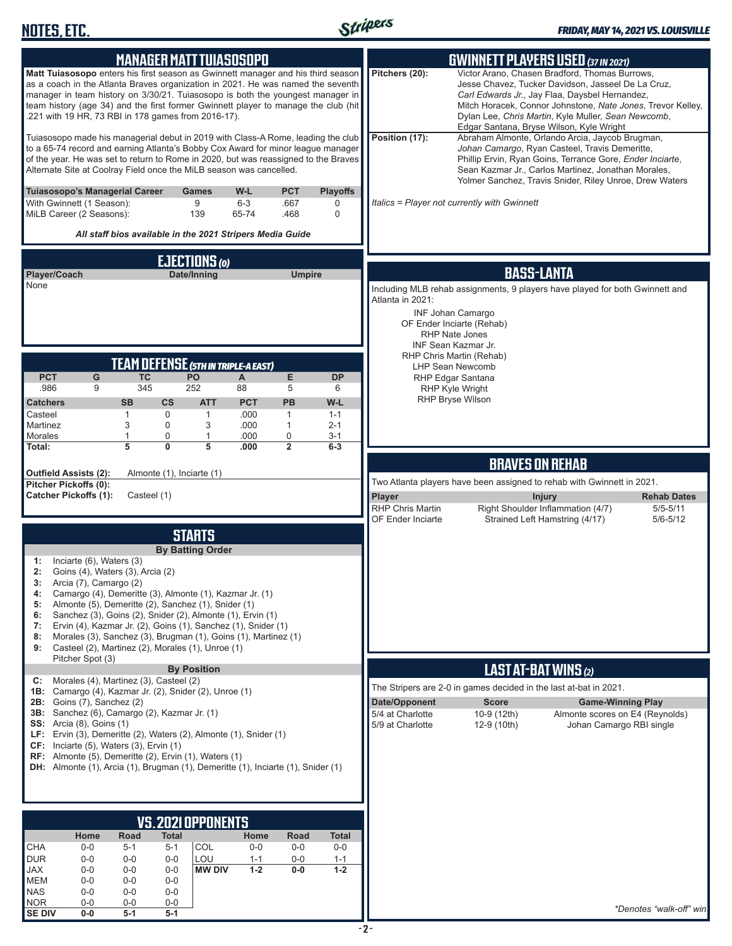

| <b>MANAGER MATT TUIASOSOPO</b>                                                                                                                                                                                                                                                                                                                                                                                                                                                                                                                                   | <b>GWINNETT PLAYERS USED (37 IN 2021)</b>                                                                                                                                                                                                                                                                                                  |
|------------------------------------------------------------------------------------------------------------------------------------------------------------------------------------------------------------------------------------------------------------------------------------------------------------------------------------------------------------------------------------------------------------------------------------------------------------------------------------------------------------------------------------------------------------------|--------------------------------------------------------------------------------------------------------------------------------------------------------------------------------------------------------------------------------------------------------------------------------------------------------------------------------------------|
| Matt Tuiasosopo enters his first season as Gwinnett manager and his third season<br>as a coach in the Atlanta Braves organization in 2021. He was named the seventh<br>manager in team history on 3/30/21. Tuiasosopo is both the youngest manager in<br>team history (age 34) and the first former Gwinnett player to manage the club (hit<br>.221 with 19 HR, 73 RBI in 178 games from 2016-17).                                                                                                                                                               | Pitchers (20):<br>Victor Arano, Chasen Bradford, Thomas Burrows,<br>Jesse Chavez, Tucker Davidson, Jasseel De La Cruz,<br>Carl Edwards Jr., Jay Flaa, Daysbel Hernandez,<br>Mitch Horacek, Connor Johnstone, Nate Jones, Trevor Kelley,<br>Dylan Lee, Chris Martin, Kyle Muller, Sean Newcomb,<br>Edgar Santana, Bryse Wilson, Kyle Wright |
| Tuiasosopo made his managerial debut in 2019 with Class-A Rome, leading the club<br>to a 65-74 record and earning Atlanta's Bobby Cox Award for minor league manager<br>of the year. He was set to return to Rome in 2020, but was reassigned to the Braves<br>Alternate Site at Coolray Field once the MiLB season was cancelled.                                                                                                                                                                                                                               | Position (17):<br>Abraham Almonte, Orlando Arcia, Jaycob Brugman,<br>Johan Camargo, Ryan Casteel, Travis Demeritte,<br>Phillip Ervin, Ryan Goins, Terrance Gore, Ender Inciarte,<br>Sean Kazmar Jr., Carlos Martinez, Jonathan Morales,<br>Yolmer Sanchez, Travis Snider, Riley Unroe, Drew Waters                                         |
| Tuiasosopo's Managerial Career<br>W-L<br><b>PCT</b><br><b>Playoffs</b><br>Games<br>9<br>With Gwinnett (1 Season):<br>$6 - 3$<br>.667<br>0<br>MiLB Career (2 Seasons):<br>139<br>65-74<br>0<br>.468<br>All staff bios available in the 2021 Stripers Media Guide                                                                                                                                                                                                                                                                                                  | Italics = Player not currently with Gwinnett                                                                                                                                                                                                                                                                                               |
| EJECTIONS (0)<br>Date/Inning<br>Player/Coach<br><b>Umpire</b><br>None                                                                                                                                                                                                                                                                                                                                                                                                                                                                                            | <b>BASS-LANTA</b><br>Including MLB rehab assignments, 9 players have played for both Gwinnett and<br>Atlanta in 2021:<br><b>INF Johan Camargo</b><br>OF Ender Inciarte (Rehab)<br>RHP Nate Jones<br>INF Sean Kazmar Jr.                                                                                                                    |
| TEAM DEFENSE (5TH IN TRIPLE-A EAST)<br><b>TC</b><br>E<br><b>PCT</b><br><b>PO</b><br>A<br><b>DP</b><br>G<br>345<br>252<br>.986<br>9<br>5<br>88<br>6<br><b>ATT</b><br><b>PCT</b><br><b>PB</b><br>W-L<br><b>Catchers</b><br><b>SB</b><br>$\mathsf{cs}$<br>Casteel<br>$\mathbf{1}$<br>0<br>$\mathbf{1}$<br>.000<br>$\mathbf{1}$<br>$1 - 1$<br>3<br>0<br>3<br>Martinez<br>.000<br>$\mathbf{1}$<br>$2 - 1$<br>$\overline{1}$<br>0<br>$\mathbf{1}$<br>0<br>Morales<br>.000<br>$3 - 1$<br>$\overline{0}$<br>5<br>5<br>$\overline{2}$<br>Total:<br>.000<br>$6-3$          | RHP Chris Martin (Rehab)<br><b>LHP Sean Newcomb</b><br>RHP Edgar Santana<br><b>RHP Kyle Wright</b><br>RHP Bryse Wilson                                                                                                                                                                                                                     |
| Outfield Assists (2):<br>Almonte (1), Inciarte (1)                                                                                                                                                                                                                                                                                                                                                                                                                                                                                                               | <b>BRAVES ON REHAB</b>                                                                                                                                                                                                                                                                                                                     |
| Pitcher Pickoffs (0):<br><b>Catcher Pickoffs (1):</b><br>Casteel (1)                                                                                                                                                                                                                                                                                                                                                                                                                                                                                             | Two Atlanta players have been assigned to rehab with Gwinnett in 2021.<br>Player<br><b>Rehab Dates</b><br><b>Injury</b><br><b>RHP Chris Martin</b><br>Right Shoulder Inflammation (4/7)<br>$5/5 - 5/11$<br>Strained Left Hamstring (4/17)<br>$5/6 - 5/12$<br>OF Ender Inciarte                                                             |
| <b>STARTS</b><br><b>By Batting Order</b><br>Inciarte (6), Waters (3)<br>1:<br>2:<br>Goins (4), Waters (3), Arcia (2)<br>3:<br>Arcia (7), Camargo (2)<br>Camargo (4), Demeritte (3), Almonte (1), Kazmar Jr. (1)<br>4:<br>Almonte (5), Demeritte (2), Sanchez (1), Snider (1)<br>5:<br>Sanchez (3), Goins (2), Snider (2), Almonte (1), Ervin (1)<br>6:<br>Ervin (4), Kazmar Jr. (2), Goins (1), Sanchez (1), Snider (1)<br>7:<br>Morales (3), Sanchez (3), Brugman (1), Goins (1), Martinez (1)<br>8:<br>Casteel (2), Martinez (2), Morales (1), Unroe (1)<br>9: |                                                                                                                                                                                                                                                                                                                                            |
| Pitcher Spot (3)<br><b>By Position</b>                                                                                                                                                                                                                                                                                                                                                                                                                                                                                                                           | <b>LAST AT-BAT WINS (2)</b>                                                                                                                                                                                                                                                                                                                |
| C: Morales (4), Martinez (3), Casteel (2)<br>1B: Camargo (4), Kazmar Jr. (2), Snider (2), Unroe (1)                                                                                                                                                                                                                                                                                                                                                                                                                                                              | The Stripers are 2-0 in games decided in the last at-bat in 2021.                                                                                                                                                                                                                                                                          |
| <b>2B:</b> Goins (7), Sanchez (2)<br>3B: Sanchez (6), Camargo (2), Kazmar Jr. (1)<br><b>SS:</b> Arcia (8), Goins (1)<br>LF: Ervin (3), Demeritte (2), Waters (2), Almonte (1), Snider (1)<br>CF: Inciarte (5), Waters (3), Ervin (1)<br>RF: Almonte (5), Demeritte (2), Ervin (1), Waters (1)<br>DH: Almonte (1), Arcia (1), Brugman (1), Demeritte (1), Inciarte (1), Snider (1)                                                                                                                                                                                | Date/Opponent<br><b>Score</b><br><b>Game-Winning Play</b><br>5/4 at Charlotte<br>10-9 (12th)<br>Almonte scores on E4 (Reynolds)<br>5/9 at Charlotte<br>Johan Camargo RBI single<br>12-9 (10th)                                                                                                                                             |
|                                                                                                                                                                                                                                                                                                                                                                                                                                                                                                                                                                  |                                                                                                                                                                                                                                                                                                                                            |
| VS.2021 OPPONENTS<br>Home<br>Road<br>Total<br>Home<br>Road<br><b>Total</b>                                                                                                                                                                                                                                                                                                                                                                                                                                                                                       |                                                                                                                                                                                                                                                                                                                                            |
| <b>CHA</b><br>COL<br>$0-0$<br>$5 - 1$<br>$0-0$<br>$0-0$<br>$0-0$<br>5-1<br><b>DUR</b><br>$0-0$<br>$0-0$<br>LOU<br>$0-0$<br>$1 - 1$<br>$0-0$<br>$1 - 1$<br>$1 - 2$<br><b>MW DIV</b><br>$0-0$<br>$1 - 2$<br>JAX<br>$0-0$<br>$0-0$<br>$0-0$<br>MEM<br>$0-0$<br>$0-0$<br>$0-0$<br><b>NAS</b><br>$0-0$<br>$0-0$<br>$0-0$<br><b>NOR</b><br>$0-0$<br>$0-0$<br>0-0                                                                                                                                                                                                       | *Denotes "walk-off" win                                                                                                                                                                                                                                                                                                                    |
| <b>SE DIV</b><br>$0-0$<br>5-1<br>$5-1$                                                                                                                                                                                                                                                                                                                                                                                                                                                                                                                           |                                                                                                                                                                                                                                                                                                                                            |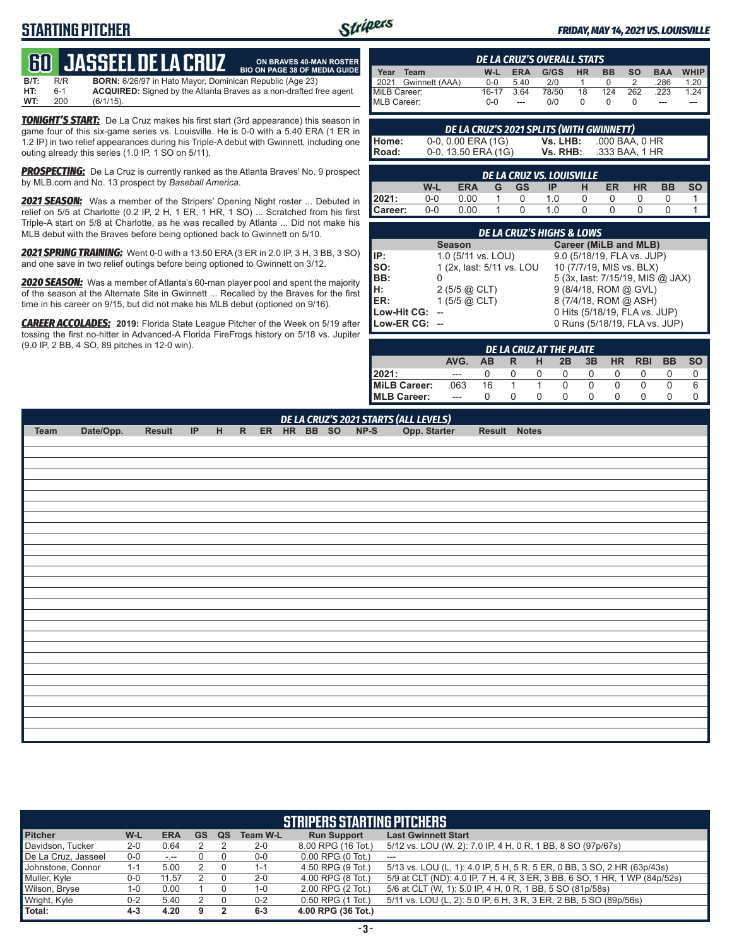# **STARTING PITCHER**



**ON BRAVES 40-MAN ROSTER**

#### *FRIDAY, MAY 14, 2021 VS. LOUISVILLE*

# **60****JASSEEL DE LA CRUZ**

**B/T:** R/R **BORN:** 6/26/97 in Hato Mayor, Dominican Republic (Age 23)<br>**HT:** 6-1 **ACQUIRED:** Signed by the Atlanta Braves as a non-drafted f **HT:** 6-1 **ACQUIRED:** Signed by the Atlanta Braves as a non-drafted free agent **WT:** 200 (6/1/15). **BIO ON PAGE 38 OF MEDIA GUIDE**

*TONIGHT'S START:* De La Cruz makes his first start (3rd appearance) this season in game four of this six-game series vs. Louisville. He is 0-0 with a 5.40 ERA (1 ER in 1.2 IP) in two relief appearances during his Triple-A debut with Gwinnett, including one outing already this series (1.0 IP, 1 SO on 5/11).

*PROSPECTING:* De La Cruz is currently ranked as the Atlanta Braves' No. 9 prospect by MLB.com and No. 13 prospect by *Baseball America*.

*2021 SEASON:* Was a member of the Stripers' Opening Night roster ... Debuted in relief on 5/5 at Charlotte (0.2 IP, 2 H, 1 ER, 1 HR, 1 SO) ... Scratched from his first Triple-A start on 5/8 at Charlotte, as he was recalled by Atlanta ... Did not make his MLB debut with the Braves before being optioned back to Gwinnett on 5/10.

*2021 SPRING TRAINING:* Went 0-0 with a 13.50 ERA (3 ER in 2.0 IP, 3 H, 3 BB, 3 SO) and one save in two relief outings before being optioned to Gwinnett on 3/12.

*2020 SEASON:* Was a member of Atlanta's 60-man player pool and spent the majority of the season at the Alternate Site in Gwinnett ... Recalled by the Braves for the first time in his career on 9/15, but did not make his MLB debut (optioned on 9/16).

*CAREER ACCOLADES:* **2019:** Florida State League Pitcher of the Week on 5/19 after tossing the first no-hitter in Advanced-A Florida FireFrogs history on 5/18 vs. Jupiter (9.0 IP, 2 BB, 4 SO, 89 pitches in 12-0 win).

| <b>DE LA CRUZ'S OVERALL STATS</b> |                                                                     |         |            |      |           |           |           |            |        |
|-----------------------------------|---------------------------------------------------------------------|---------|------------|------|-----------|-----------|-----------|------------|--------|
| Year                              | Team                                                                | W-L     | <b>ERA</b> | G/GS | <b>HR</b> | <b>BB</b> | <b>SO</b> | <b>BAA</b> | WHIP I |
|                                   | 2021 Gwinnett (AAA)                                                 | $0 - 0$ | 5.40       | 2/0  |           |           |           | .286       | 1.20   |
|                                   | MiLB Career:<br>78/50<br>$16-17$<br>262<br>3.64<br>18<br>124<br>223 |         |            |      |           |           | 1 24      |            |        |
| MLB Career:                       |                                                                     | $0 - 0$ | $-$        | 0/0  |           |           |           | ---        | ---    |

**Home:** 0-0, 0.00 ERA (1G) **Vs. LHB:** .000 BAA, 0 HR<br>**Road:** 0-0, 13.50 ERA (1G) **Vs. RHB:** .333 BAA, 1 HR 0-0, 13.50 ERA (1G)

*DE LA CRUZ'S 2021 SPLITS (WITH GWINNETT)*

*DE LA CRUZ VS. LOUISVILLE* **W-L ERA G GS IP H ER HR BB SO 2021:** 0-0 0.00 1 0 1.0 0 0 0 0 1

**Career:** 0-0 0.00 1 0 1.0 0 0 0 0 1

| <b>DE LA CRUZ'S HIGHS &amp; LOWS</b> |                                               |                                  |  |  |  |  |  |  |  |
|--------------------------------------|-----------------------------------------------|----------------------------------|--|--|--|--|--|--|--|
|                                      | <b>Career (MiLB and MLB)</b><br><b>Season</b> |                                  |  |  |  |  |  |  |  |
| IP:                                  | 1.0 (5/11 vs. LOU)                            | 9.0 (5/18/19, FLA vs. JUP)       |  |  |  |  |  |  |  |
| SO:                                  | 1 (2x, last: 5/11 vs. LOU                     | 10 (7/7/19, MIS vs. BLX)         |  |  |  |  |  |  |  |
| BB:                                  |                                               | 5 (3x, last: 7/15/19, MIS @ JAX) |  |  |  |  |  |  |  |
| H:                                   | $2(5/5)$ $\omega$ CLT)                        | 9 (8/4/18, ROM @ GVL)            |  |  |  |  |  |  |  |
| ER:                                  | 1 $(5/5)$ @ CLT)                              | 8 (7/4/18, ROM @ ASH)            |  |  |  |  |  |  |  |
| Low-Hit CG:                          |                                               | 0 Hits (5/18/19, FLA vs. JUP)    |  |  |  |  |  |  |  |
| Low-ER CG: --                        |                                               | 0 Runs (5/18/19, FLA vs. JUP)    |  |  |  |  |  |  |  |

| DE LA CRUZ AT THE PLATE |       |     |   |            |    |    |           |            |           |           |
|-------------------------|-------|-----|---|------------|----|----|-----------|------------|-----------|-----------|
|                         | AVG.  | AB. | R | н          | 2B | 3B | <b>HR</b> | <b>RBI</b> | <b>BB</b> | <b>SO</b> |
| 2021:                   |       |     |   |            |    |    |           |            |           |           |
| MiLB Career:            | .063  | 16  |   |            |    |    |           |            |           |           |
| <b>IMLB Career:</b>     | $---$ |     |   | $^{\circ}$ |    |    |           |            |           |           |

*DE LA CRUZ'S 2021 STARTS (ALL LEVELS)* **Team Date/Opp. Result IP H R ER HR BB SO NP-S Opp. Starter Result Notes**

| <b>STRIPERS STARTING PITCHERS</b> |         |            |    |    |          |                        |                                                                           |
|-----------------------------------|---------|------------|----|----|----------|------------------------|---------------------------------------------------------------------------|
| <b>Pitcher</b>                    | W-L     | <b>ERA</b> | GS | QS | Team W-L | <b>Run Support</b>     | <b>Last Gwinnett Start</b>                                                |
| Davidson, Tucker                  | $2 - 0$ | 0.64       |    |    | $2 - 0$  | 8.00 RPG (16 Tot.)     | 5/12 vs. LOU (W, 2): 7.0 IP, 4 H, 0 R, 1 BB, 8 SO (97p/67s)               |
| De La Cruz, Jasseel               | 0-0     | $-1$       |    |    | $0-0$    | $0.00$ RPG $(0)$ Tot.) | $---$                                                                     |
| Johnstone, Connor                 | $1 - 1$ | 5.00       |    |    | $1 - 1$  | 4.50 RPG (9 Tot.)      | 5/13 vs. LOU (L, 1): 4.0 IP, 5 H, 5 R, 5 ER, 0 BB, 3 SO, 2 HR (63p/43s)   |
| Muller, Kyle                      | $0-0$   | 11.57      |    |    | $2 - 0$  | 4.00 RPG (8 Tot.)      | 5/9 at CLT (ND): 4.0 IP, 7 H, 4 R, 3 ER, 3 BB, 6 SO, 1 HR, 1 WP (84p/52s) |
| Wilson, Bryse                     | 1-0     | 0.00       |    |    | 1-0      | 2.00 RPG (2 Tot.)      | 5/6 at CLT (W, 1): 5.0 IP, 4 H, 0 R, 1 BB, 5 SO (81p/58s)                 |
| Wright, Kyle                      | $0 - 2$ | 5.40       |    |    | $0 - 2$  | 0.50 RPG (1 Tot.)      | 5/11 vs. LOU (L, 2): 5.0 IP, 6 H, 3 R, 3 ER, 2 BB, 5 SO (89p/56s)         |
| Total:                            | $4 - 3$ | 4.20       |    |    | $6 - 3$  | 4.00 RPG (36 Tot.)     |                                                                           |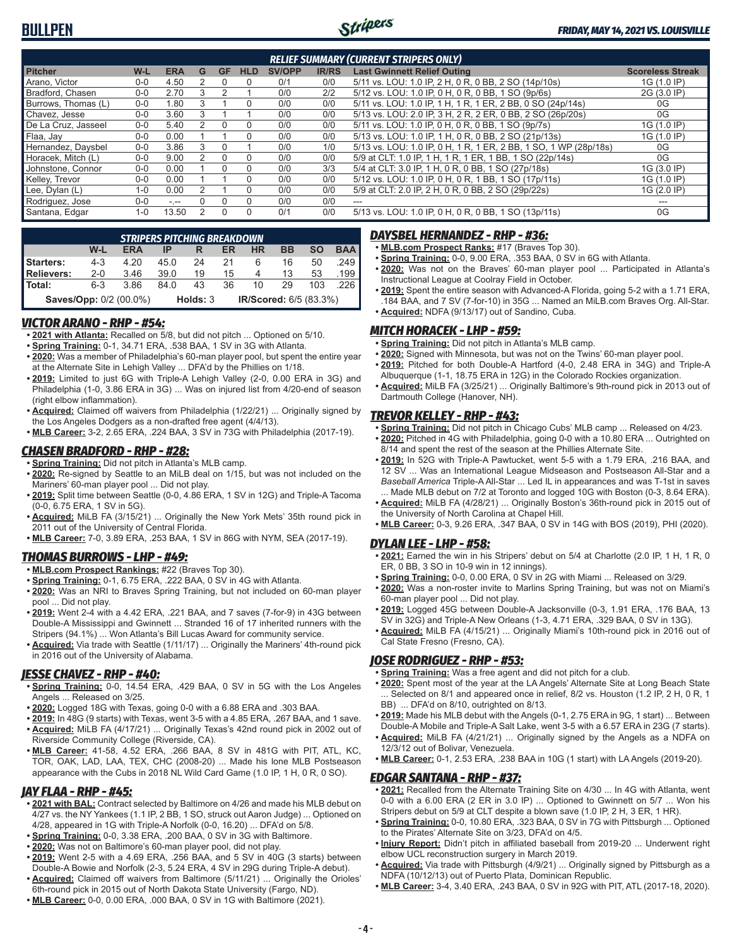

| <b>RELIEF SUMMARY (CURRENT STRIPERS ONLY)</b> |         |            |   |           |            |               |              |                                                                  |                         |
|-----------------------------------------------|---------|------------|---|-----------|------------|---------------|--------------|------------------------------------------------------------------|-------------------------|
| <b>Pitcher</b>                                | W-L     | <b>ERA</b> | G | <b>GF</b> | <b>HLD</b> | <b>SV/OPP</b> | <b>IR/RS</b> | <b>Last Gwinnett Relief Outing</b>                               | <b>Scoreless Streak</b> |
| Arano, Victor                                 | $0-0$   | 4.50       |   |           | 0          | 0/1           | 0/0          | 5/11 vs. LOU: 1.0 IP, 2 H, 0 R, 0 BB, 2 SO (14p/10s)             | 1G (1.0 IP)             |
| Bradford, Chasen                              | $0 - 0$ | 2.70       |   |           |            | 0/0           | 2/2          | 5/12 vs. LOU: 1.0 IP, 0 H, 0 R, 0 BB, 1 SO (9p/6s)               | 2G (3.0 IP)             |
| Burrows, Thomas (L)                           | $0 - 0$ | 1.80       |   |           | $\Omega$   | 0/0           | 0/0          | 5/11 vs. LOU: 1.0 IP, 1 H, 1 R, 1 ER, 2 BB, 0 SO (24p/14s)       | 0G                      |
| Chavez. Jesse                                 | $0 - 0$ | 3.60       |   |           |            | 0/0           | 0/0          | 5/13 vs. LOU: 2.0 IP, 3 H, 2 R, 2 ER, 0 BB, 2 SO (26p/20s)       | 0G                      |
| De La Cruz, Jasseel                           | $0 - 0$ | 5.40       |   |           | 0          | 0/0           | 0/0          | 5/11 vs. LOU: 1.0 IP, 0 H, 0 R, 0 BB, 1 SO (9p/7s)               | 1G (1.0 IP)             |
| Flaa, Jay                                     | $0 - 0$ | 0.00       |   |           | $\Omega$   | 0/0           | 0/0          | 5/13 vs. LOU: 1.0 IP, 1 H, 0 R, 0 BB, 2 SO (21p/13s)             | 1G (1.0 IP)             |
| Hernandez, Daysbel                            | $0 - 0$ | 3.86       | 3 |           |            | 0/0           | 1/0          | 5/13 vs. LOU: 1.0 IP, 0 H, 1 R, 1 ER, 2 BB, 1 SO, 1 WP (28p/18s) | 0G                      |
| Horacek. Mitch (L)                            | $0 - 0$ | 9.00       |   |           | 0          | 0/0           | 0/0          | 5/9 at CLT: 1.0 IP, 1 H, 1 R, 1 ER, 1 BB, 1 SO (22p/14s)         | 0G                      |
| Johnstone, Connor                             | $0 - 0$ | 0.00       |   |           | 0          | 0/0           | 3/3          | 5/4 at CLT: 3.0 IP, 1 H, 0 R, 0 BB, 1 SO (27p/18s)               | 1G (3.0 IP)             |
| Kelley, Trevor                                | $0 - 0$ | 0.00       |   |           | 0          | 0/0           | 0/0          | 5/12 vs. LOU: 1.0 IP, 0 H, 0 R, 1 BB, 1 SO (17p/11s)             | 1G (1.0 IP)             |
| Lee, Dylan (L)                                | $1 - 0$ | 0.00       |   |           | U          | 0/0           | 0/0          | 5/9 at CLT: 2.0 IP, 2 H, 0 R, 0 BB, 2 SO (29p/22s)               | 1G (2.0 IP)             |
| Rodriguez, Jose                               | $0 - 0$ | $-1 - 1$   |   |           | $\Omega$   | 0/0           | 0/0          | $---$                                                            |                         |
| Santana, Edgar                                | $1 - 0$ | 13.50      | 2 | 0         | 0          | 0/1           | 0/0          | 5/13 vs. LOU: 1.0 IP, 0 H, 0 R, 0 BB, 1 SO (13p/11s)             | 0G                      |

| STRIPERS PITCHING BREAKDOWN |         |            |      |                        |    |           |    |           |                       |
|-----------------------------|---------|------------|------|------------------------|----|-----------|----|-----------|-----------------------|
|                             | W-L     | <b>ERA</b> |      | R                      | ER | <b>HR</b> | BB | <b>SO</b> | <b>BAA</b>            |
| Starters:                   | $4 - 3$ | 4.20       | 45.0 | 24                     | 21 | 6         | 16 | 50        | .249                  |
| Relievers:                  | $2 - 0$ | 3.46       | 39.0 | 19                     | 15 | 4         | 13 | 53        | $.199$ $\blacksquare$ |
| l Total:                    | $6 - 3$ | 3.86       | 84.0 | 43                     | 36 | 10        | 29 | 103       |                       |
| Saves/Opp: 0/2 (00.0%)      |         | Holds: 3   |      | IR/Scored: 6/5 (83.3%) |    |           |    |           |                       |

### *VICTOR ARANO - RHP - #54:*

- **• 2021 with Atlanta:** Recalled on 5/8, but did not pitch ... Optioned on 5/10.
- **• Spring Training:** 0-1, 34.71 ERA, .538 BAA, 1 SV in 3G with Atlanta.
- **• 2020:** Was a member of Philadelphia's 60-man player pool, but spent the entire year at the Alternate Site in Lehigh Valley ... DFA'd by the Phillies on 1/18.
- **• 2019:** Limited to just 6G with Triple-A Lehigh Valley (2-0, 0.00 ERA in 3G) and Philadelphia (1-0, 3.86 ERA in 3G) ... Was on injured list from 4/20-end of season (right elbow inflammation).
- **• Acquired:** Claimed off waivers from Philadelphia (1/22/21) ... Originally signed by the Los Angeles Dodgers as a non-drafted free agent (4/4/13).
- **• MLB Career:** 3-2, 2.65 ERA, .224 BAA, 3 SV in 73G with Philadelphia (2017-19).

### *CHASEN BRADFORD - RHP - #28:*

- **• Spring Training:** Did not pitch in Atlanta's MLB camp.
- **• 2020:** Re-signed by Seattle to an MiLB deal on 1/15, but was not included on the Mariners' 60-man player pool ... Did not play.
- **• 2019:** Split time between Seattle (0-0, 4.86 ERA, 1 SV in 12G) and Triple-A Tacoma (0-0, 6.75 ERA, 1 SV in 5G).
- **• Acquired:** MiLB FA (3/15/21) ... Originally the New York Mets' 35th round pick in 2011 out of the University of Central Florida.
- **• MLB Career:** 7-0, 3.89 ERA, .253 BAA, 1 SV in 86G with NYM, SEA (2017-19).

### *THOMAS BURROWS - LHP - #49:*

- **• MLB.com Prospect Rankings:** #22 (Braves Top 30).
- **• Spring Training:** 0-1, 6.75 ERA, .222 BAA, 0 SV in 4G with Atlanta.
- **• 2020:** Was an NRI to Braves Spring Training, but not included on 60-man player pool ... Did not play.
- **• 2019:** Went 2-4 with a 4.42 ERA, .221 BAA, and 7 saves (7-for-9) in 43G between Double-A Mississippi and Gwinnett ... Stranded 16 of 17 inherited runners with the Stripers (94.1%) ... Won Atlanta's Bill Lucas Award for community service.
- **• Acquired:** Via trade with Seattle (1/11/17) ... Originally the Mariners' 4th-round pick in 2016 out of the University of Alabama.

### *JESSE CHAVEZ - RHP - #40:*

- **• Spring Training:** 0-0, 14.54 ERA, .429 BAA, 0 SV in 5G with the Los Angeles Angels ... Released on 3/25.
- **• 2020:** Logged 18G with Texas, going 0-0 with a 6.88 ERA and .303 BAA.
- **• 2019:** In 48G (9 starts) with Texas, went 3-5 with a 4.85 ERA, .267 BAA, and 1 save. **• Acquired:** MiLB FA (4/17/21) ... Originally Texas's 42nd round pick in 2002 out of Riverside Community College (Riverside, CA).
- **• MLB Career:** 41-58, 4.52 ERA, .266 BAA, 8 SV in 481G with PIT, ATL, KC, TOR, OAK, LAD, LAA, TEX, CHC (2008-20) ... Made his lone MLB Postseason appearance with the Cubs in 2018 NL Wild Card Game (1.0 IP, 1 H, 0 R, 0 SO).

#### *JAY FLAA - RHP - #45:*

- **• 2021 with BAL:** Contract selected by Baltimore on 4/26 and made his MLB debut on 4/27 vs. the NY Yankees (1.1 IP, 2 BB, 1 SO, struck out Aaron Judge) ... Optioned on 4/28, appeared in 1G with Triple-A Norfolk (0-0, 16.20) ... DFA'd on 5/8.
- **• Spring Training:** 0-0, 3.38 ERA, .200 BAA, 0 SV in 3G with Baltimore.
- **• 2020:** Was not on Baltimore's 60-man player pool, did not play.
- **• 2019:** Went 2-5 with a 4.69 ERA, .256 BAA, and 5 SV in 40G (3 starts) between Double-A Bowie and Norfolk (2-3, 5.24 ERA, 4 SV in 29G during Triple-A debut).
- **• Acquired:** Claimed off waivers from Baltimore (5/11/21) ... Originally the Orioles' 6th-round pick in 2015 out of North Dakota State University (Fargo, ND).
- **• MLB Career:** 0-0, 0.00 ERA, .000 BAA, 0 SV in 1G with Baltimore (2021).

### *DAYSBEL HERNANDEZ - RHP - #36:*

- **• MLB.com Prospect Ranks:** #17 (Braves Top 30).
- **• Spring Training:** 0-0, 9.00 ERA, .353 BAA, 0 SV in 6G with Atlanta.
- **• 2020:** Was not on the Braves' 60-man player pool ... Participated in Atlanta's Instructional League at Coolray Field in October.
- **• 2019:** Spent the entire season with Advanced-A Florida, going 5-2 with a 1.71 ERA, .184 BAA, and 7 SV (7-for-10) in 35G ... Named an MiLB.com Braves Org. All-Star. **• Acquired:** NDFA (9/13/17) out of Sandino, Cuba.

### *MITCH HORACEK - LHP - #59:*

- **• Spring Training:** Did not pitch in Atlanta's MLB camp.
- **• 2020:** Signed with Minnesota, but was not on the Twins' 60-man player pool.
- **• 2019:** Pitched for both Double-A Hartford (4-0, 2.48 ERA in 34G) and Triple-A
- Albuquerque (1-1, 18.75 ERA in 12G) in the Colorado Rockies organization. **• Acquired:** MiLB FA (3/25/21) ... Originally Baltimore's 9th-round pick in 2013 out of Dartmouth College (Hanover, NH).

#### *TREVOR KELLEY - RHP - #43:*

- **• Spring Training:** Did not pitch in Chicago Cubs' MLB camp ... Released on 4/23.
- **• 2020:** Pitched in 4G with Philadelphia, going 0-0 with a 10.80 ERA ... Outrighted on 8/14 and spent the rest of the season at the Phillies Alternate Site.
- **• 2019:** In 52G with Triple-A Pawtucket, went 5-5 with a 1.79 ERA, .216 BAA, and 12 SV ... Was an International League Midseason and Postseason All-Star and a *Baseball America* Triple-A All-Star ... Led IL in appearances and was T-1st in saves ... Made MLB debut on 7/2 at Toronto and logged 10G with Boston (0-3, 8.64 ERA).
- **• Acquired:** MiLB FA (4/28/21) ... Originally Boston's 36th-round pick in 2015 out of the University of North Carolina at Chapel Hill.
- **• MLB Career:** 0-3, 9.26 ERA, .347 BAA, 0 SV in 14G with BOS (2019), PHI (2020).

### *DYLAN LEE - LHP - #58:*

- **• 2021:** Earned the win in his Stripers' debut on 5/4 at Charlotte (2.0 IP, 1 H, 1 R, 0 ER, 0 BB, 3 SO in 10-9 win in 12 innings).
- **• Spring Training:** 0-0, 0.00 ERA, 0 SV in 2G with Miami ... Released on 3/29.
- **• 2020:** Was a non-roster invite to Marlins Spring Training, but was not on Miami's 60-man player pool ... Did not play.
- **• 2019:** Logged 45G between Double-A Jacksonville (0-3, 1.91 ERA, .176 BAA, 13 SV in 32G) and Triple-A New Orleans (1-3, 4.71 ERA, .329 BAA, 0 SV in 13G).
- **• Acquired:** MiLB FA (4/15/21) ... Originally Miami's 10th-round pick in 2016 out of Cal State Fresno (Fresno, CA).

### *JOSE RODRIGUEZ - RHP - #53:*

- **• Spring Training:** Was a free agent and did not pitch for a club.
- **• 2020:** Spent most of the year at the LA Angels' Alternate Site at Long Beach State Selected on 8/1 and appeared once in relief, 8/2 vs. Houston (1.2 IP, 2 H, 0 R, 1 BB) ... DFA'd on 8/10, outrighted on 8/13.
- **• 2019:** Made his MLB debut with the Angels (0-1, 2.75 ERA in 9G, 1 start) ... Between Double-A Mobile and Triple-A Salt Lake, went 3-5 with a 6.57 ERA in 23G (7 starts).
- **• Acquired:** MiLB FA (4/21/21) ... Originally signed by the Angels as a NDFA on 12/3/12 out of Bolivar, Venezuela.
- **• MLB Career:** 0-1, 2.53 ERA, .238 BAA in 10G (1 start) with LA Angels (2019-20).

### *EDGAR SANTANA - RHP - #37:*

- **• 2021:** Recalled from the Alternate Training Site on 4/30 ... In 4G with Atlanta, went 0-0 with a 6.00 ERA (2 ER in 3.0 IP) ... Optioned to Gwinnett on 5/7 ... Won his Stripers debut on 5/9 at CLT despite a blown save (1.0 IP, 2 H, 3 ER, 1 HR).
- **• Spring Training:** 0-0, 10.80 ERA, .323 BAA, 0 SV in 7G with Pittsburgh ... Optioned to the Pirates' Alternate Site on 3/23, DFA'd on 4/5.
- **• Injury Report:** Didn't pitch in affiliated baseball from 2019-20 ... Underwent right elbow UCL reconstruction surgery in March 2019.
- **• Acquired:** Via trade with Pittsburgh (4/9/21) ... Originally signed by Pittsburgh as a NDFA (10/12/13) out of Puerto Plata, Dominican Republic.
- **• MLB Career:** 3-4, 3.40 ERA, .243 BAA, 0 SV in 92G with PIT, ATL (2017-18, 2020).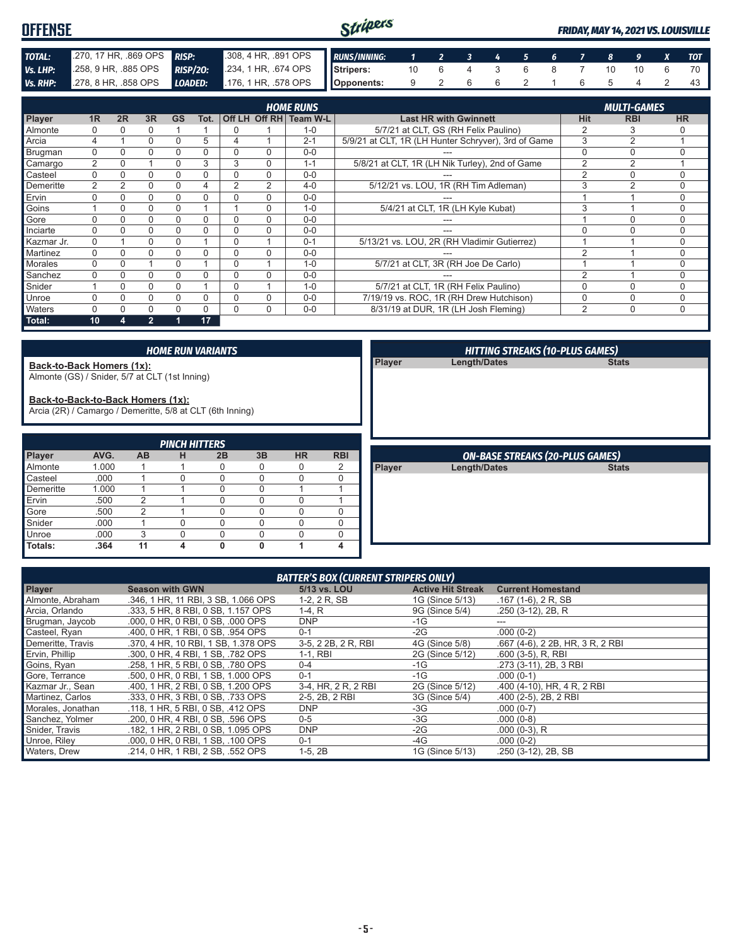#### Stripers **OFFENSE** *FRIDAY, MAY 14, 2021 VS. LOUISVILLE TOTAL:* .270, 17 HR, .869 OPS *RISP:* .308, 4 HR, .891 OPS *RUNS/INNING: 1 2 3 4 5 6 7 8 9 X TOT Vs. LHP:* .258, 9 HR, .885 OPS *RISP/2O:* .234, 1 HR, .674 OPS **Stripers:** 10 6 4 3 6 8 7 10 10 6 70 **Opponents:** 9 2 6 6 2 1 6 5 4 2 43 *Vs. RHP:* .278, 8 HR, .858 OPS *LOADED:* .176, 1 HR, .578 OPS

|               |                |    |                |           |          |   |          | <b>HOME RUNS</b>       |                                                     |                | <b>MULTI-GAMES</b> |           |
|---------------|----------------|----|----------------|-----------|----------|---|----------|------------------------|-----------------------------------------------------|----------------|--------------------|-----------|
| <b>Player</b> | 1 <sub>R</sub> | 2R | 3R             | <b>GS</b> | Tot.     |   |          | Off LH Off RH Team W-L | <b>Last HR with Gwinnett</b>                        | Hit            | <b>RBI</b>         | <b>HR</b> |
| Almonte       |                |    | 0              |           |          | 0 |          | $1 - 0$                | 5/7/21 at CLT, GS (RH Felix Paulino)                | $\overline{2}$ | 3                  |           |
| Arcia         |                |    | 0              | 0         | 5        | 4 |          | $2 - 1$                | 5/9/21 at CLT, 1R (LH Hunter Schryver), 3rd of Game | 3              | $\overline{2}$     |           |
| Brugman       | 0              |    | 0              |           | 0        |   | 0        | $0 - 0$                |                                                     | $\Omega$       | $\Omega$           | $\Omega$  |
| Camargo       | $\overline{2}$ |    |                | 0         | 3        | 3 | 0        | $1 - 1$                | 5/8/21 at CLT, 1R (LH Nik Turley), 2nd of Game      | $\overline{2}$ | 2                  |           |
| Casteel       | $\Omega$       |    | 0              | 0         | 0        | 0 | $\Omega$ | $0 - 0$                |                                                     | $\overline{2}$ | $\Omega$           |           |
| Demeritte     | 2              | 2  | $\Omega$       | 0         | 4        | 2 | 2        | $4 - 0$                | 5/12/21 vs. LOU, 1R (RH Tim Adleman)                | 3              | 2                  | 0         |
| Ervin         |                |    | 0              | 0         | 0        | 0 | 0        | $0 - 0$                |                                                     |                |                    | 0         |
| Goins         |                |    | 0              |           |          |   | 0        | $1 - 0$                | 5/4/21 at CLT, 1R (LH Kyle Kubat)                   | 3              |                    | 0         |
| Gore          |                |    | 0              | 0         | 0        | 0 | 0        | $0 - 0$                |                                                     |                | $\Omega$           |           |
| Inciarte      | $\Omega$       |    | $\Omega$       | 0         | N        | 0 | $\Omega$ | $0 - 0$                | ---                                                 | $\Omega$       | $\Omega$           | $\Omega$  |
| Kazmar Jr.    | $\mathbf{0}$   |    | 0              | 0         |          | 0 |          | $0 - 1$                | 5/13/21 vs. LOU, 2R (RH Vladimir Gutierrez)         |                |                    | 0         |
| Martinez      | 0              |    | 0              |           | 0        |   | 0        | $0 - 0$                |                                                     | $\overline{2}$ |                    | 0         |
| Morales       |                |    |                | 0         |          | 0 |          | $1 - 0$                | 5/7/21 at CLT, 3R (RH Joe De Carlo)                 |                |                    | $\Omega$  |
| Sanchez       | 0              |    | 0              | 0         | $\Omega$ | 0 | $\Omega$ | $0 - 0$                |                                                     | $\overline{2}$ |                    | 0         |
| Snider        |                |    | $\Omega$       | 0         |          | 0 |          | $1 - 0$                | 5/7/21 at CLT, 1R (RH Felix Paulino)                | $\Omega$       | $\Omega$           | 0         |
| Unroe         |                |    | $\Omega$       | 0         | 0        | 0 | $\Omega$ | $0 - 0$                | 7/19/19 vs. ROC, 1R (RH Drew Hutchison)             | 0              | $\mathbf 0$        | $\Omega$  |
| Waters        |                |    | 0              |           | 0        | 0 | 0        | $0-0$                  | 8/31/19 at DUR, 1R (LH Josh Fleming)                | $\overline{2}$ | $\mathbf 0$        | 0         |
| Total:        | 10             |    | $\overline{2}$ |           | 17       |   |          |                        |                                                     |                |                    |           |

#### *HOME RUN VARIANTS*

**Back-to-Back Homers (1x):**

Almonte (GS) / Snider, 5/7 at CLT (1st Inning)

**Back-to-Back-to-Back Homers (1x):**

Arcia (2R) / Camargo / Demeritte, 5/8 at CLT (6th Inning)

| <b>PINCH HITTERS</b> |       |                |   |    |    |           |                |
|----------------------|-------|----------------|---|----|----|-----------|----------------|
| <b>Player</b>        | AVG.  | <b>AB</b>      | н | 2B | 3B | <b>HR</b> | <b>RBI</b>     |
| Almonte              | 1.000 |                |   |    | 0  |           | $\overline{2}$ |
| <b>Casteel</b>       | .000  |                |   |    | 0  |           |                |
| Demeritte            | 1.000 |                |   |    | 0  |           |                |
| $I$ Ervin            | .500  | $\overline{2}$ |   |    | O  |           |                |
| Gore                 | .500  | 2              |   |    | 0  |           |                |
| Snider               | .000  |                |   |    | O  |           |                |
| Unroe                | .000  | 3              |   |    | Ω  |           |                |
| Totals:              | .364  | 11             |   | ŋ  | O  |           |                |

|               | <b>HITTING STREAKS (10-PLUS GAMES)</b> |              |  |
|---------------|----------------------------------------|--------------|--|
| <b>Player</b> | <b>Length/Dates</b>                    | <b>Stats</b> |  |
|               |                                        |              |  |
|               |                                        |              |  |
|               |                                        |              |  |
|               |                                        |              |  |
|               |                                        |              |  |
|               |                                        |              |  |
|               |                                        |              |  |
|               |                                        |              |  |
|               | <b>ON-BASE STREAKS (20-PLUS GAMES)</b> |              |  |
| Player        | <b>Length/Dates</b>                    | <b>Stats</b> |  |
|               |                                        |              |  |
|               |                                        |              |  |
|               |                                        |              |  |
|               |                                        |              |  |
|               |                                        |              |  |

| <b>BATTER'S BOX (CURRENT STRIPERS ONLY)</b> |                                     |                     |                          |                                  |  |  |
|---------------------------------------------|-------------------------------------|---------------------|--------------------------|----------------------------------|--|--|
| <b>Player</b>                               | <b>Season with GWN</b>              | 5/13 vs. LOU        | <b>Active Hit Streak</b> | <b>Current Homestand</b>         |  |  |
| Almonte, Abraham                            | .346, 1 HR, 11 RBI, 3 SB, 1.066 OPS | 1-2, 2 R, SB        | 1G (Since 5/13)          | $.167(1-6)$ , 2 R, SB            |  |  |
| Arcia, Orlando                              | .333. 5 HR. 8 RBI. 0 SB. 1.157 OPS  | $1-4, R$            | 9G (Since 5/4)           | $.250(3-12)$ , 2B, R             |  |  |
| Brugman, Jaycob                             | .000, 0 HR, 0 RBI, 0 SB, .000 OPS   | <b>DNP</b>          | $-1G$                    | ---                              |  |  |
| Casteel, Ryan                               | .400, 0 HR, 1 RBI, 0 SB, .954 OPS   | $0 - 1$             | $-2G$                    | $.000(0-2)$                      |  |  |
| Demeritte, Travis                           | .370, 4 HR, 10 RBI, 1 SB, 1.378 OPS | 3-5, 2 2B, 2 R, RBI | 4G (Since 5/8)           | .667 (4-6), 2 2B, HR, 3 R, 2 RBI |  |  |
| Ervin, Phillip                              | .300, 0 HR, 4 RBI, 1 SB, .782 OPS   | 1-1. RBI            | 2G (Since 5/12)          | $.600(3-5)$ , R, RBI             |  |  |
| Goins, Ryan                                 | .258, 1 HR, 5 RBI, 0 SB, .780 OPS   | $0 - 4$             | -1G                      | .273 (3-11), 2B, 3 RBI           |  |  |
| Gore, Terrance                              | .500, 0 HR, 0 RBI, 1 SB, 1,000 OPS  | $0 - 1$             | $-1G$                    | $.000(0-1)$                      |  |  |
| Kazmar Jr., Sean                            | .400, 1 HR, 2 RBI, 0 SB, 1,200 OPS  | 3-4, HR, 2 R, 2 RBI | 2G (Since 5/12)          | .400 (4-10), HR, 4 R, 2 RBI      |  |  |
| Martinez, Carlos                            | .333. 0 HR. 3 RBI. 0 SB. .733 OPS   | 2-5, 2B, 2 RBI      | 3G (Since 5/4)           | .400 (2-5), 2B, 2 RBI            |  |  |
| Morales, Jonathan                           | .118. 1 HR. 5 RBI. 0 SB. .412 OPS   | <b>DNP</b>          | $-3G$                    | $.000(0-7)$                      |  |  |
| Sanchez, Yolmer                             | .200, 0 HR, 4 RBI, 0 SB, .596 OPS   | $0-5$               | $-3G$                    | $.000(0-8)$                      |  |  |
| Snider, Travis                              | .182. 1 HR. 2 RBI. 0 SB. 1.095 OPS  | <b>DNP</b>          | $-2G$                    | $.000(0-3)$ , R                  |  |  |
| Unroe, Riley                                | .000, 0 HR, 0 RBI, 1 SB, .100 OPS   | $0 - 1$             | -4G                      | $.000(0-2)$                      |  |  |
| <b>Waters, Drew</b>                         | .214, 0 HR, 1 RBI, 2 SB, .552 OPS   | $1-5, 2B$           | 1G (Since 5/13)          | .250 (3-12), 2B, SB              |  |  |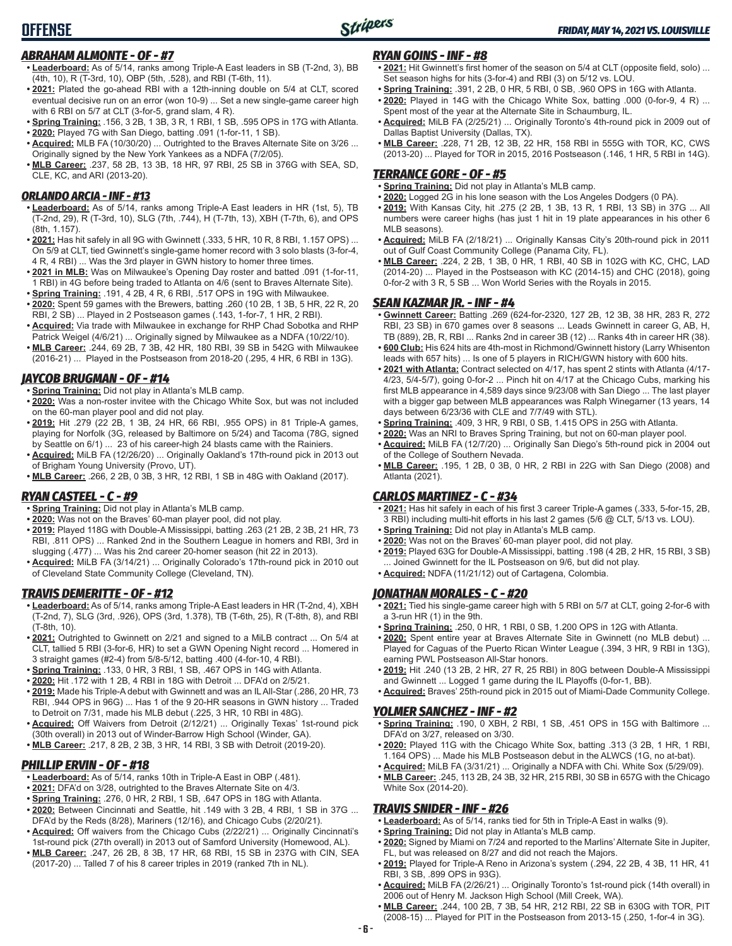## *ABRAHAM ALMONTE - OF - #7*

- **• Leaderboard:** As of 5/14, ranks among Triple-A East leaders in SB (T-2nd, 3), BB (4th, 10), R (T-3rd, 10), OBP (5th, .528), and RBI (T-6th, 11).
- **• 2021:** Plated the go-ahead RBI with a 12th-inning double on 5/4 at CLT, scored eventual decisive run on an error (won 10-9) ... Set a new single-game career high with 6 RBI on 5/7 at CLT (3-for-5, grand slam, 4 R).
- **• Spring Training:** .156, 3 2B, 1 3B, 3 R, 1 RBI, 1 SB, .595 OPS in 17G with Atlanta.
- **• 2020:** Played 7G with San Diego, batting .091 (1-for-11, 1 SB). **• Acquired:** MLB FA (10/30/20) ... Outrighted to the Braves Alternate Site on 3/26 ...
- Originally signed by the New York Yankees as a NDFA (7/2/05).
- **• MLB Career:** .237, 58 2B, 13 3B, 18 HR, 97 RBI, 25 SB in 376G with SEA, SD, CLE, KC, and ARI (2013-20).

## *ORLANDO ARCIA - INF - #13*

- **• Leaderboard:** As of 5/14, ranks among Triple-A East leaders in HR (1st, 5), TB (T-2nd, 29), R (T-3rd, 10), SLG (7th, .744), H (T-7th, 13), XBH (T-7th, 6), and OPS (8th, 1.157).
- **• 2021:** Has hit safely in all 9G with Gwinnett (.333, 5 HR, 10 R, 8 RBI, 1.157 OPS) ... On 5/9 at CLT, tied Gwinnett's single-game homer record with 3 solo blasts (3-for-4, 4 R, 4 RBI) ... Was the 3rd player in GWN history to homer three times.
- **• 2021 in MLB:** Was on Milwaukee's Opening Day roster and batted .091 (1-for-11, 1 RBI) in 4G before being traded to Atlanta on 4/6 (sent to Braves Alternate Site). **• Spring Training:** .191, 4 2B, 4 R, 6 RBI, .517 OPS in 19G with Milwaukee.
- **• 2020:** Spent 59 games with the Brewers, batting .260 (10 2B, 1 3B, 5 HR, 22 R, 20 RBI, 2 SB) ... Played in 2 Postseason games (.143, 1-for-7, 1 HR, 2 RBI).
- **• Acquired:** Via trade with Milwaukee in exchange for RHP Chad Sobotka and RHP Patrick Weigel (4/6/21) ... Originally signed by Milwaukee as a NDFA (10/22/10).
- **• MLB Career:** .244, 69 2B, 7 3B, 42 HR, 180 RBI, 39 SB in 542G with Milwaukee (2016-21) ... Played in the Postseason from 2018-20 (.295, 4 HR, 6 RBI in 13G).

## *JAYCOB BRUGMAN - OF - #14*

- **• Spring Training:** Did not play in Atlanta's MLB camp.
- **• 2020:** Was a non-roster invitee with the Chicago White Sox, but was not included on the 60-man player pool and did not play.
- **• 2019:** Hit .279 (22 2B, 1 3B, 24 HR, 66 RBI, .955 OPS) in 81 Triple-A games, playing for Norfolk (3G, released by Baltimore on 5/24) and Tacoma (78G, signed by Seattle on 6/1) ... 23 of his career-high 24 blasts came with the Rainiers.
- **• Acquired:** MiLB FA (12/26/20) ... Originally Oakland's 17th-round pick in 2013 out of Brigham Young University (Provo, UT).
- **• MLB Career:** .266, 2 2B, 0 3B, 3 HR, 12 RBI, 1 SB in 48G with Oakland (2017).

## *RYAN CASTEEL - C - #9*

- **• Spring Training:** Did not play in Atlanta's MLB camp.
- **• 2020:** Was not on the Braves' 60-man player pool, did not play.
- **• 2019:** Played 118G with Double-A Mississippi, batting .263 (21 2B, 2 3B, 21 HR, 73 RBI, .811 OPS) ... Ranked 2nd in the Southern League in homers and RBI, 3rd in slugging (.477) ... Was his 2nd career 20-homer season (hit 22 in 2013).
- **• Acquired:** MiLB FA (3/14/21) ... Originally Colorado's 17th-round pick in 2010 out of Cleveland State Community College (Cleveland, TN).

## *TRAVIS DEMERITTE - OF - #12*

- **• Leaderboard:** As of 5/14, ranks among Triple-A East leaders in HR (T-2nd, 4), XBH (T-2nd, 7), SLG (3rd, .926), OPS (3rd, 1.378), TB (T-6th, 25), R (T-8th, 8), and RBI (T-8th, 10).
- **• 2021:** Outrighted to Gwinnett on 2/21 and signed to a MiLB contract ... On 5/4 at CLT, tallied 5 RBI (3-for-6, HR) to set a GWN Opening Night record ... Homered in 3 straight games (#2-4) from 5/8-5/12, batting .400 (4-for-10, 4 RBI).
- **• Spring Training:** .133, 0 HR, 3 RBI, 1 SB, .467 OPS in 14G with Atlanta.
- **• 2020:** Hit .172 with 1 2B, 4 RBI in 18G with Detroit ... DFA'd on 2/5/21.
- **• 2019:** Made his Triple-A debut with Gwinnett and was an IL All-Star (.286, 20 HR, 73 RBI, .944 OPS in 96G) ... Has 1 of the 9 20-HR seasons in GWN history ... Traded to Detroit on 7/31, made his MLB debut (.225, 3 HR, 10 RBI in 48G).
- **• Acquired:** Off Waivers from Detroit (2/12/21) ... Originally Texas' 1st-round pick (30th overall) in 2013 out of Winder-Barrow High School (Winder, GA).
- **• MLB Career:** .217, 8 2B, 2 3B, 3 HR, 14 RBI, 3 SB with Detroit (2019-20).

## *PHILLIP ERVIN - OF - #18*

- **• Leaderboard:** As of 5/14, ranks 10th in Triple-A East in OBP (.481).
- **• 2021:** DFA'd on 3/28, outrighted to the Braves Alternate Site on 4/3.
- **• Spring Training:** .276, 0 HR, 2 RBI, 1 SB, .647 OPS in 18G with Atlanta.
- **• 2020:** Between Cincinnati and Seattle, hit .149 with 3 2B, 4 RBI, 1 SB in 37G ... DFA'd by the Reds (8/28), Mariners (12/16), and Chicago Cubs (2/20/21).
- **• Acquired:** Off waivers from the Chicago Cubs (2/22/21) ... Originally Cincinnati's 1st-round pick (27th overall) in 2013 out of Samford University (Homewood, AL).
- **• MLB Career:** .247, 26 2B, 8 3B, 17 HR, 68 RBI, 15 SB in 237G with CIN, SEA (2017-20) ... Talled 7 of his 8 career triples in 2019 (ranked 7th in NL).

## *RYAN GOINS - INF - #8*

- **• 2021:** Hit Gwinnett's first homer of the season on 5/4 at CLT (opposite field, solo) ... Set season highs for hits (3-for-4) and RBI (3) on 5/12 vs. LOU.
- **• Spring Training:** .391, 2 2B, 0 HR, 5 RBI, 0 SB, .960 OPS in 16G with Atlanta.
- **• 2020:** Played in 14G with the Chicago White Sox, batting .000 (0-for-9, 4 R) ... Spent most of the year at the Alternate Site in Schaumburg, IL.
- **• Acquired:** MiLB FA (2/25/21) ... Originally Toronto's 4th-round pick in 2009 out of Dallas Baptist University (Dallas, TX).
- **• MLB Career:** .228, 71 2B, 12 3B, 22 HR, 158 RBI in 555G with TOR, KC, CWS (2013-20) ... Played for TOR in 2015, 2016 Postseason (.146, 1 HR, 5 RBI in 14G).

## *TERRANCE GORE - OF - #5*

- **• Spring Training:** Did not play in Atlanta's MLB camp.
- **• 2020:** Logged 2G in his lone season with the Los Angeles Dodgers (0 PA).
- **• 2019:** With Kansas City, hit .275 (2 2B, 1 3B, 13 R, 1 RBI, 13 SB) in 37G ... All numbers were career highs (has just 1 hit in 19 plate appearances in his other 6 MLB seasons).
- **• Acquired:** MiLB FA (2/18/21) ... Originally Kansas City's 20th-round pick in 2011 out of Gulf Coast Community College (Panama City, FL).
- **• MLB Career:** .224, 2 2B, 1 3B, 0 HR, 1 RBI, 40 SB in 102G with KC, CHC, LAD (2014-20) ... Played in the Postseason with KC (2014-15) and CHC (2018), going 0-for-2 with 3 R, 5 SB ... Won World Series with the Royals in 2015.

## *SEAN KAZMAR JR. - INF - #4*

- **• Gwinnett Career:** Batting .269 (624-for-2320, 127 2B, 12 3B, 38 HR, 283 R, 272 RBI, 23 SB) in 670 games over 8 seasons ... Leads Gwinnett in career G, AB, H, TB (889), 2B, R, RBI ... Ranks 2nd in career 3B (12) ... Ranks 4th in career HR (38).
- **• 600 Club:** His 624 hits are 4th-most in Richmond/Gwinnett history (Larry Whisenton leads with 657 hits) ... Is one of 5 players in RICH/GWN history with 600 hits.
- **• 2021 with Atlanta:** Contract selected on 4/17, has spent 2 stints with Atlanta (4/17- 4/23, 5/4-5/7), going 0-for-2 ... Pinch hit on 4/17 at the Chicago Cubs, marking his first MLB appearance in 4,589 days since 9/23/08 with San Diego ... The last player with a bigger gap between MLB appearances was Ralph Winegarner (13 years, 14 days between 6/23/36 with CLE and 7/7/49 with STL).
- **• Spring Training:** .409, 3 HR, 9 RBI, 0 SB, 1.415 OPS in 25G with Atlanta.
- **• 2020:** Was an NRI to Braves Spring Training, but not on 60-man player pool.
- **• Acquired:** MiLB FA (12/7/20) ... Originally San Diego's 5th-round pick in 2004 out of the College of Southern Nevada. **• MLB Career:** .195, 1 2B, 0 3B, 0 HR, 2 RBI in 22G with San Diego (2008) and
- Atlanta (2021).

## *CARLOS MARTINEZ - C - #34*

- **• 2021:** Has hit safely in each of his first 3 career Triple-A games (.333, 5-for-15, 2B, 3 RBI) including multi-hit efforts in his last 2 games (5/6 @ CLT, 5/13 vs. LOU).
- **• Spring Training:** Did not play in Atlanta's MLB camp.
- **• 2020:** Was not on the Braves' 60-man player pool, did not play.
- **• 2019:** Played 63G for Double-A Mississippi, batting .198 (4 2B, 2 HR, 15 RBI, 3 SB) Joined Gwinnett for the IL Postseason on 9/6, but did not play. **• Acquired:** NDFA (11/21/12) out of Cartagena, Colombia.

## *JONATHAN MORALES - C - #20*

- **• 2021:** Tied his single-game career high with 5 RBI on 5/7 at CLT, going 2-for-6 with a 3-run HR (1) in the 9th.
- **• Spring Training:** .250, 0 HR, 1 RBI, 0 SB, 1.200 OPS in 12G with Atlanta.
- **• 2020:** Spent entire year at Braves Alternate Site in Gwinnett (no MLB debut) ... Played for Caguas of the Puerto Rican Winter League (.394, 3 HR, 9 RBI in 13G), earning PWL Postseason All-Star honors.
- **• 2019:** Hit .240 (13 2B, 2 HR, 27 R, 25 RBI) in 80G between Double-A Mississippi and Gwinnett ... Logged 1 game during the IL Playoffs (0-for-1, BB).
- **• Acquired:** Braves' 25th-round pick in 2015 out of Miami-Dade Community College.

### *YOLMER SANCHEZ - INF - #2*

- **• Spring Training:** .190, 0 XBH, 2 RBI, 1 SB, .451 OPS in 15G with Baltimore ... DFA'd on 3/27, released on 3/30.
- **• 2020:** Played 11G with the Chicago White Sox, batting .313 (3 2B, 1 HR, 1 RBI, 1.164 OPS) ... Made his MLB Postseason debut in the ALWCS (1G, no at-bat).
- **• Acquired:** MiLB FA (3/31/21) ... Originally a NDFA with Chi. White Sox (5/29/09). **• MLB Career:** .245, 113 2B, 24 3B, 32 HR, 215 RBI, 30 SB in 657G with the Chicago White Sox (2014-20).

## *TRAVIS SNIDER - INF - #26*

- **• Leaderboard:** As of 5/14, ranks tied for 5th in Triple-A East in walks (9).
- **• Spring Training:** Did not play in Atlanta's MLB camp.
- **• 2020:** Signed by Miami on 7/24 and reported to the Marlins' Alternate Site in Jupiter, FL, but was released on 8/27 and did not reach the Majors.
- **• 2019:** Played for Triple-A Reno in Arizona's system (.294, 22 2B, 4 3B, 11 HR, 41 RBI, 3 SB, .899 OPS in 93G).
- **• Acquired:** MiLB FA (2/26/21) ... Originally Toronto's 1st-round pick (14th overall) in 2006 out of Henry M. Jackson High School (Mill Creek, WA).
- **• MLB Career:** .244, 100 2B, 7 3B, 54 HR, 212 RBI, 22 SB in 630G with TOR, PIT (2008-15) ... Played for PIT in the Postseason from 2013-15 (.250, 1-for-4 in 3G).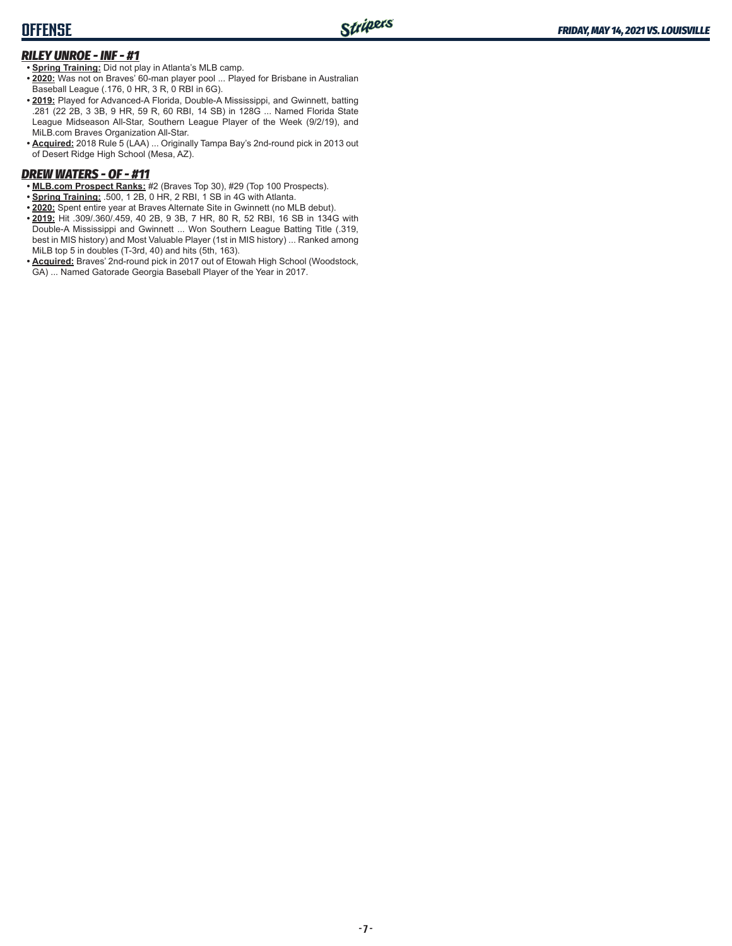## **OFFENSE**

## *RILEY UNROE - INF - #1*

**• Spring Training:** Did not play in Atlanta's MLB camp.

- **• 2020:** Was not on Braves' 60-man player pool ... Played for Brisbane in Australian Baseball League (.176, 0 HR, 3 R, 0 RBI in 6G).
- **• 2019:** Played for Advanced-A Florida, Double-A Mississippi, and Gwinnett, batting .281 (22 2B, 3 3B, 9 HR, 59 R, 60 RBI, 14 SB) in 128G ... Named Florida State League Midseason All-Star, Southern League Player of the Week (9/2/19), and MiLB.com Braves Organization All-Star.
- **• Acquired:** 2018 Rule 5 (LAA) ... Originally Tampa Bay's 2nd-round pick in 2013 out of Desert Ridge High School (Mesa, AZ).

## *DREW WATERS - OF - #11*

- **• MLB.com Prospect Ranks:** #2 (Braves Top 30), #29 (Top 100 Prospects).
- **• Spring Training:** .500, 1 2B, 0 HR, 2 RBI, 1 SB in 4G with Atlanta.
- **• 2020:** Spent entire year at Braves Alternate Site in Gwinnett (no MLB debut).
- **• 2019:** Hit .309/.360/.459, 40 2B, 9 3B, 7 HR, 80 R, 52 RBI, 16 SB in 134G with Double-A Mississippi and Gwinnett ... Won Southern League Batting Title (.319, best in MIS history) and Most Valuable Player (1st in MIS history) ... Ranked among MiLB top 5 in doubles (T-3rd, 40) and hits (5th, 163).
- **• Acquired:** Braves' 2nd-round pick in 2017 out of Etowah High School (Woodstock, GA) ... Named Gatorade Georgia Baseball Player of the Year in 2017.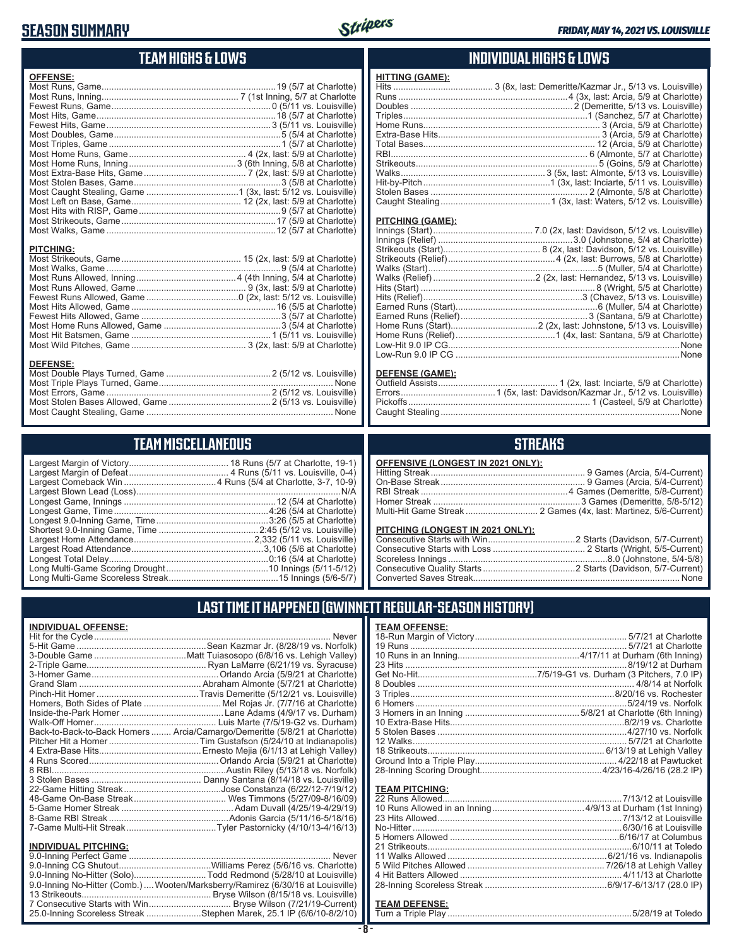## **SEASON SUMMARY**



## **TEAM HIGHS & LOWS**

| <b>OFFENSE:</b>  |  |
|------------------|--|
|                  |  |
|                  |  |
|                  |  |
|                  |  |
|                  |  |
|                  |  |
|                  |  |
|                  |  |
|                  |  |
|                  |  |
|                  |  |
|                  |  |
|                  |  |
|                  |  |
|                  |  |
|                  |  |
| <b>PITCHING:</b> |  |
| <b>DEFENSE:</b>  |  |

## **TEAM MISCELLANEOUS**

Most Caught Stealing, Game None

## **INDIVIDUAL HIGHS & LOWS**

| <b>HITTING (GAME):</b> |  |
|------------------------|--|
|                        |  |
|                        |  |
|                        |  |
|                        |  |
|                        |  |
|                        |  |
|                        |  |
|                        |  |
|                        |  |
|                        |  |
|                        |  |
|                        |  |
|                        |  |

#### **PITCHING (GAME):**

#### **DEFENSE (GAME):**

## **STREAKS**

| OFFENSIVE (LONGEST IN 2021 ONLY): |  |
|-----------------------------------|--|
|                                   |  |
|                                   |  |
|                                   |  |
|                                   |  |
|                                   |  |
|                                   |  |

## **PITCHING (LONGEST IN 2021 ONLY):**

## **LAST TIME IT HAPPENED (GWINNETT REGULAR-SEASON HISTORY)**

| <u>INDIVIDUAL OFFENSE:</u>  |                                                                                 |  |
|-----------------------------|---------------------------------------------------------------------------------|--|
|                             | <b>Never</b>                                                                    |  |
|                             |                                                                                 |  |
|                             |                                                                                 |  |
|                             |                                                                                 |  |
|                             |                                                                                 |  |
|                             |                                                                                 |  |
|                             |                                                                                 |  |
|                             | Homers, Both Sides of Plate Mel Rojas Jr. (7/7/16 at Charlotte)                 |  |
|                             |                                                                                 |  |
|                             |                                                                                 |  |
|                             | Back-to-Back-to-Back Homers  Arcia/Camargo/Demeritte (5/8/21 at Charlotte)      |  |
|                             |                                                                                 |  |
|                             |                                                                                 |  |
|                             |                                                                                 |  |
|                             |                                                                                 |  |
|                             |                                                                                 |  |
|                             |                                                                                 |  |
|                             |                                                                                 |  |
|                             |                                                                                 |  |
|                             |                                                                                 |  |
|                             |                                                                                 |  |
| <b>INDIVIDUAL PITCHING:</b> |                                                                                 |  |
|                             |                                                                                 |  |
|                             |                                                                                 |  |
|                             | 9.0-Inning No-Hitter (Solo)Todd Redmond (5/28/10 at Louisville)                 |  |
|                             | 9.0-Inning No-Hitter (Comb.)  Wooten/Marksberry/Ramirez (6/30/16 at Louisville) |  |
|                             |                                                                                 |  |

7 Consecutive Starts with Win................................ Bryse Wilson (7/21/19-Current) 25.0-Inning Scoreless Streak ......................Stephen Marek, 25.1 IP (6/6/10-8/2/10)

| <b>TEAM OFFENSE:</b> |  |
|----------------------|--|
|                      |  |

## **TEAM PITCHING:**

**TEAM DEFENSE:** Turn a Triple Play 5/28/19 at Toledo